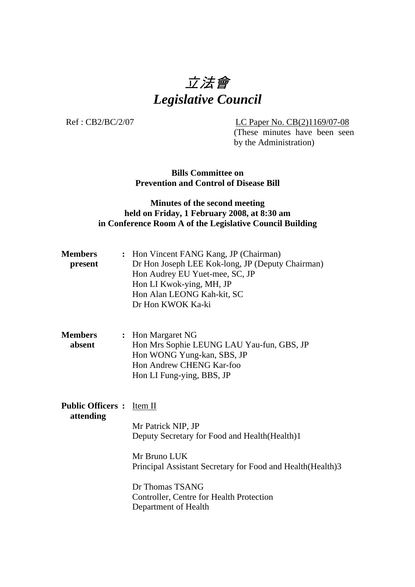# 立法會 *Legislative Council*

Ref : CB2/BC/2/07 LC Paper No. CB(2)1169/07-08

(These minutes have been seen by the Administration)

**Bills Committee on Prevention and Control of Disease Bill** 

### **Minutes of the second meeting held on Friday, 1 February 2008, at 8:30 am in Conference Room A of the Legislative Council Building**

| <b>Members</b><br>present                     | : Hon Vincent FANG Kang, JP (Chairman)<br>Dr Hon Joseph LEE Kok-long, JP (Deputy Chairman)<br>Hon Audrey EU Yuet-mee, SC, JP<br>Hon LI Kwok-ying, MH, JP<br>Hon Alan LEONG Kah-kit, SC<br>Dr Hon KWOK Ka-ki                                 |
|-----------------------------------------------|---------------------------------------------------------------------------------------------------------------------------------------------------------------------------------------------------------------------------------------------|
| <b>Members</b><br>absent                      | : Hon Margaret NG<br>Hon Mrs Sophie LEUNG LAU Yau-fun, GBS, JP<br>Hon WONG Yung-kan, SBS, JP<br>Hon Andrew CHENG Kar-foo<br>Hon LI Fung-ying, BBS, JP                                                                                       |
| <b>Public Officers :</b> Item II<br>attending | Mr Patrick NIP, JP<br>Deputy Secretary for Food and Health (Health)1<br>Mr Bruno LUK<br>Principal Assistant Secretary for Food and Health (Health) 3<br>Dr Thomas TSANG<br>Controller, Centre for Health Protection<br>Department of Health |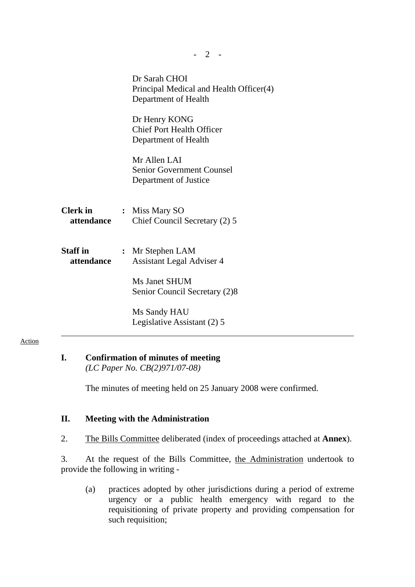|                               | Dr Sarah CHOI<br>Principal Medical and Health Officer(4)<br>Department of Health |
|-------------------------------|----------------------------------------------------------------------------------|
|                               | Dr Henry KONG<br><b>Chief Port Health Officer</b><br>Department of Health        |
|                               | Mr Allen LAI<br><b>Senior Government Counsel</b><br>Department of Justice        |
| <b>Clerk in</b><br>attendance | : Miss Mary SO<br>Chief Council Secretary (2) 5                                  |
| Staff in<br>attendance        | : Mr Stephen LAM<br><b>Assistant Legal Adviser 4</b>                             |
|                               | Ms Janet SHUM<br>Senior Council Secretary (2)8                                   |
|                               | Ms Sandy HAU<br>Legislative Assistant (2) 5                                      |
|                               |                                                                                  |

### Action

## **I. Confirmation of minutes of meeting**

 *(LC Paper No. CB(2)971/07-08)* 

The minutes of meeting held on 25 January 2008 were confirmed.

### **II. Meeting with the Administration**

2. The Bills Committee deliberated (index of proceedings attached at **Annex**).

3. At the request of the Bills Committee, the Administration undertook to provide the following in writing -

(a) practices adopted by other jurisdictions during a period of extreme urgency or a public health emergency with regard to the requisitioning of private property and providing compensation for such requisition;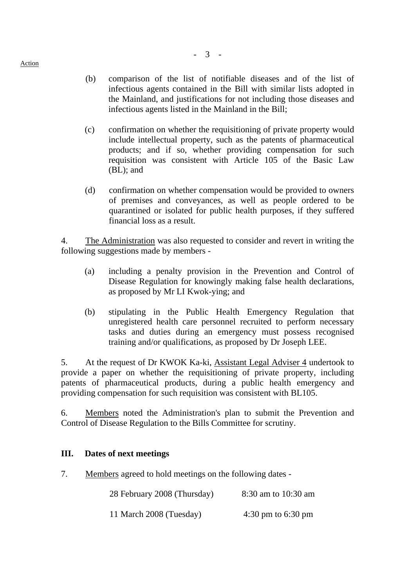- (b) comparison of the list of notifiable diseases and of the list of infectious agents contained in the Bill with similar lists adopted in the Mainland, and justifications for not including those diseases and infectious agents listed in the Mainland in the Bill;
- (c) confirmation on whether the requisitioning of private property would include intellectual property, such as the patents of pharmaceutical products; and if so, whether providing compensation for such requisition was consistent with Article 105 of the Basic Law (BL); and
- (d) confirmation on whether compensation would be provided to owners of premises and conveyances, as well as people ordered to be quarantined or isolated for public health purposes, if they suffered financial loss as a result.

4. The Administration was also requested to consider and revert in writing the following suggestions made by members -

- (a) including a penalty provision in the Prevention and Control of Disease Regulation for knowingly making false health declarations, as proposed by Mr LI Kwok-ying; and
- (b) stipulating in the Public Health Emergency Regulation that unregistered health care personnel recruited to perform necessary tasks and duties during an emergency must possess recognised training and/or qualifications, as proposed by Dr Joseph LEE.

5. At the request of Dr KWOK Ka-ki, Assistant Legal Adviser 4 undertook to provide a paper on whether the requisitioning of private property, including patents of pharmaceutical products, during a public health emergency and providing compensation for such requisition was consistent with BL105.

6. Members noted the Administration's plan to submit the Prevention and Control of Disease Regulation to the Bills Committee for scrutiny.

### **III. Dates of next meetings**

7. Members agreed to hold meetings on the following dates -

| 28 February 2008 (Thursday) | 8:30 am to 10:30 am |  |
|-----------------------------|---------------------|--|
|-----------------------------|---------------------|--|

11 March 2008 (Tuesday) 4:30 pm to 6:30 pm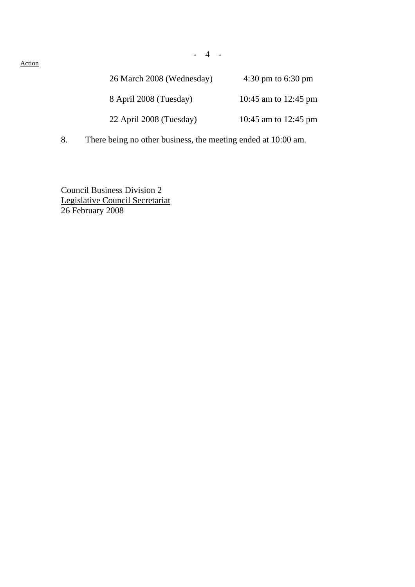Action

| 26 March 2008 (Wednesday) | $4:30 \text{ pm}$ to 6:30 pm |
|---------------------------|------------------------------|
| 8 April 2008 (Tuesday)    | 10:45 am to 12:45 pm         |
| 22 April 2008 (Tuesday)   | 10:45 am to 12:45 pm         |

8. There being no other business, the meeting ended at 10:00 am.

Council Business Division 2 Legislative Council Secretariat 26 February 2008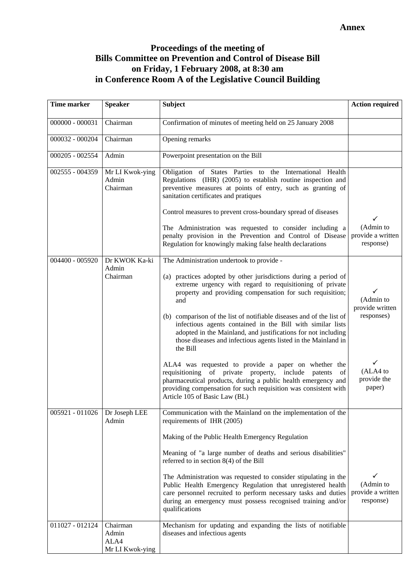### **Proceedings of the meeting of Bills Committee on Prevention and Control of Disease Bill on Friday, 1 February 2008, at 8:30 am in Conference Room A of the Legislative Council Building**

| <b>Time marker</b>              | <b>Speaker</b>                               | <b>Subject</b>                                                                                                                                                                                                                                                                            | <b>Action required</b>                                      |
|---------------------------------|----------------------------------------------|-------------------------------------------------------------------------------------------------------------------------------------------------------------------------------------------------------------------------------------------------------------------------------------------|-------------------------------------------------------------|
| $000000 - 000031$               | Chairman                                     | Confirmation of minutes of meeting held on 25 January 2008                                                                                                                                                                                                                                |                                                             |
| 000032 - 000204                 | Chairman                                     | Opening remarks                                                                                                                                                                                                                                                                           |                                                             |
| 000205 - 002554                 | Admin                                        | Powerpoint presentation on the Bill                                                                                                                                                                                                                                                       |                                                             |
| 002555 - 004359                 | Mr LI Kwok-ying<br>Admin<br>Chairman         | Obligation of States Parties to the International Health<br>Regulations (IHR) (2005) to establish routine inspection and<br>preventive measures at points of entry, such as granting of<br>sanitation certificates and pratiques                                                          |                                                             |
|                                 |                                              | Control measures to prevent cross-boundary spread of diseases                                                                                                                                                                                                                             |                                                             |
|                                 |                                              | The Administration was requested to consider including a<br>penalty provision in the Prevention and Control of Disease<br>Regulation for knowingly making false health declarations                                                                                                       | (Admin to<br>provide a written<br>response)                 |
| 004400 - 005920                 | Dr KWOK Ka-ki<br>Admin                       | The Administration undertook to provide -                                                                                                                                                                                                                                                 |                                                             |
|                                 | Chairman                                     | (a) practices adopted by other jurisdictions during a period of<br>extreme urgency with regard to requisitioning of private<br>property and providing compensation for such requisition;<br>and                                                                                           | ✓<br>(Admin to<br>provide written                           |
|                                 |                                              | (b) comparison of the list of notifiable diseases and of the list of<br>infectious agents contained in the Bill with similar lists<br>adopted in the Mainland, and justifications for not including<br>those diseases and infectious agents listed in the Mainland in<br>the Bill         | responses)                                                  |
|                                 |                                              | ALA4 was requested to provide a paper on whether the<br>requisitioning of private property, include<br>patents<br>of<br>pharmaceutical products, during a public health emergency and<br>providing compensation for such requisition was consistent with<br>Article 105 of Basic Law (BL) | ✓<br>(ALA4 to<br>provide the<br>paper)                      |
| 005921 - 011026   Dr Joseph LEE | Admin                                        | Communication with the Mainland on the implementation of the<br>requirements of IHR (2005)                                                                                                                                                                                                |                                                             |
|                                 |                                              | Making of the Public Health Emergency Regulation                                                                                                                                                                                                                                          |                                                             |
|                                 |                                              | Meaning of "a large number of deaths and serious disabilities"<br>referred to in section $8(4)$ of the Bill                                                                                                                                                                               |                                                             |
|                                 |                                              | The Administration was requested to consider stipulating in the<br>Public Health Emergency Regulation that unregistered health<br>care personnel recruited to perform necessary tasks and duties<br>during an emergency must possess recognised training and/or<br>qualifications         | $\checkmark$<br>(Admin to<br>provide a written<br>response) |
| 011027 - 012124                 | Chairman<br>Admin<br>ALA4<br>Mr LI Kwok-ying | Mechanism for updating and expanding the lists of notifiable<br>diseases and infectious agents                                                                                                                                                                                            |                                                             |